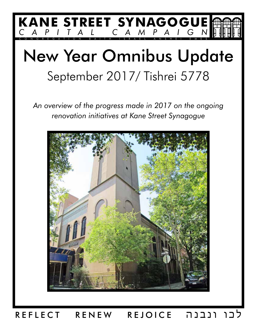

# New Year Omnibus Update September 2017/ Tishrei 5778

*An overview of the progress made in 2017 on the ongoing renovation initiatives at Kane Street Synagogue*



REFLECT RENEW REJOICE ונבנה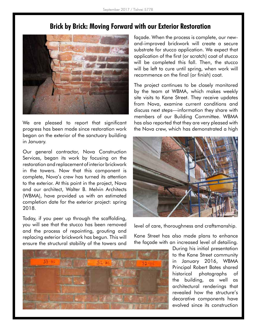

We are pleased to report that significant progress has been made since restoration work began on the exterior of the sanctuary building in January.

Our general contractor, Nova Construction Services, began its work by focusing on the restoration and replacement of interior brickwork in the towers. Now that this component is complete, Nova's crew has turned its attention to the exterior. At this point in the project, Nova and our architect, Walter B. Melvin Architects (WBMA), have provided us with an estimated completion date for the exterior project: spring 2018.

Today, if you peer up through the scaffolding, you will see that the stucco has been removed and the process of repointing, grouting and replacing exterior brickwork has begun. This will ensure the structural stability of the towers and



façade. When the process is complete, our newand-improved brickwork will create a secure substrate for stucco application. We expect that application of the first (or scratch) coat of stucco will be completed this fall. Then, the stucco will be left to cure until spring, when work will recommence on the final (or finish) coat.

The project continues to be closely monitored by the team at WBMA, which makes weekly site visits to Kane Street. They receive updates from Nova, examine current conditions and discuss next steps—information they share with members of our Building Committee. WBMA has also reported that they are very pleased with the Nova crew, which has demonstrated a high



level of care, thoroughness and craftsmanship.

Kane Street has also made plans to enhance the façade with an increased level of detailing.

> During his initial presentation to the Kane Street community in January 2016, WBMA Principal Robert Bates shared historical photographs of the building, as well as architectural renderings that revealed how the structure's decorative components have evolved since its construction

## **Brick by Brick: Moving Forward with our Exterior Restoration**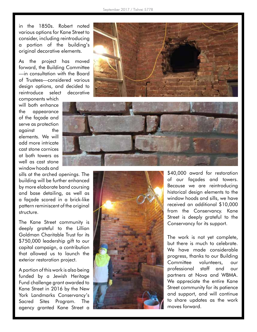in the 1850s. Robert noted various options for Kane Street to consider, including reintroducing a portion of the building's original decorative elements.

As the project has moved forward, the Building Committee —in consultation with the Board of Trustees—considered various design options, and decided to reintroduce select decorative

components which will both enhance the appearance of the façade and serve as protection against the elements. We will add more intricate cast stone cornices at both towers as well as cast stone window hoods and

sills at the arched openings. The building will be further enhanced by more elaborate band coursing and base detailing, as well as a façade scored in a brick-like pattern reminiscent of the original structure.

The Kane Street community is deeply grateful to the Lillian Goldman Charitable Trust for its \$750,000 leadership gift to our capital campaign, a contribution that allowed us to launch the exterior restoration project.

A portion of this work is also being funded by a Jewish Heritage Fund challenge grant awarded to Kane Street in 2016 by the New York Landmarks Conservancy's Sacred Sites Program. The agency granted Kane Street a







\$40,000 award for restoration of our façades and towers. Because we are reintroducing historical design elements to the window hoods and sills, we have received an additional \$10,000 from the Conservancy. Kane Street is deeply grateful to the Conservancy for its support.

The work is not yet complete, but there is much to celebrate. We have made considerable progress, thanks to our Building Committee volunteers, our professional staff and our partners at Nova and WBMA. We appreciate the entire Kane Street community for its patience and support, and will continue to share updates as the work moves forward.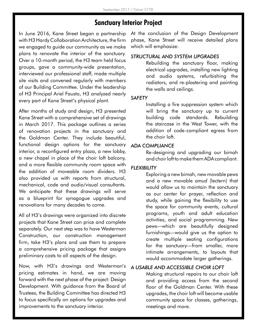## **Sanctuary Interior Project**

In June 2016, Kane Street began a partnership with H3 Hardy Collaboration Architecture, the firm we engaged to guide our community as we make plans to renovate the interior of the sanctuary. Over a 10-month period, the H3 team held focus groups, gave a community-wide presentation, interviewed our professional staff, made multiple site visits and convened regularly with members of our Building Committee. Under the leadership of H3 Principal Ariel Fausto, H3 analyzed nearly every part of Kane Street's physical plant.

After months of study and design, H3 presented Kane Street with a comprehensive set of drawings in March 2017. This package outlines a series of renovation projects in the sanctuary and the Goldman Center. They include beautiful, functional design options for the sanctuary interior, a reconfigured entry plaza, a new lobby, a new chapel in place of the choir loft balcony, and a more flexible community room space with the addition of moveable room dividers. H3 also provided us with reports from structural, mechanical, code and audio/visual consultants. We anticipate that these drawings will serve as a blueprint for synagogue upgrades and renovations for many decades to come.

All of H3's drawings were organized into discrete projects that Kane Street can price and complete separately. Our next step was to have Westerman Construction, our construction management firm, take H3's plans and use them to prepare a comprehensive pricing package that assigns preliminary costs to all aspects of the design.

Now, with H3's drawings and Westerman's pricing estimates in hand, we are moving forward with the next phase of the project: Design Development. With guidance from the Board of Trustees, the Building Committee has directed H3 to focus specifically on options for upgrades and improvements to the sanctuary interior.

At the conclusion of the Design Development phase, Kane Street will receive detailed plans which will emphasize:

#### *STRUCTURAL AND SYSTEM UPGRADES*

Rebuilding the sanctuary floor, making electrical upgrades, installing new lighting and audio systems, refurbishing the radiators, and re-plastering and painting the walls and ceilings.

#### *SAFETY*

Installing a fire suppression system which will bring the sanctuary up to current building code standards. Rebuilding the staircase in the West Tower, with the addition of code-compliant egress from the choir loft.

#### *ADA COMPLIANCE*

Re-designing and upgrading our bimah and choir loft to make them ADA compliant.

#### *FLEXIBILITY*

Exploring a new bimah, new movable pews and a new movable *amud* (lectern) that would allow us to maintain the sanctuary as our center for prayer, reflection and study, while gaining the flexibility to use the space for community events, cultural programs, youth and adult education activities, and social programming. New pews—which are beautifully designed furnishings—would give us the option to create multiple seating configurations for the sanctuary—from smaller, more intimate arrangements, to layouts that would accommodate larger gatherings.

#### *A USABLE AND ACCESSIBLE CHOIR LOFT*

Making structural repairs to our choir loft and providing access from the second floor of the Goldman Center. With these upgrades, the choir loft will become usable community space for classes, gatherings, meetings and more.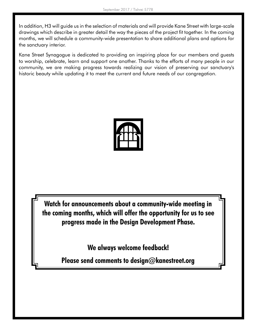In addition, H3 will guide us in the selection of materials and will provide Kane Street with large-scale drawings which describe in greater detail the way the pieces of the project fit together. In the coming months, we will schedule a community-wide presentation to share additional plans and options for the sanctuary interior.

Kane Street Synagogue is dedicated to providing an inspiring place for our members and guests to worship, celebrate, learn and support one another. Thanks to the efforts of many people in our community, we are making progress towards realizing our vision of preserving our sanctuary's historic beauty while updating it to meet the current and future needs of our congregation.



**Watch for announcements about a community-wide meeting in the coming months, which will offer the opportunity for us to see progress made in the Design Development Phase.**

**We always welcome feedback!**

**Please send comments to design@kanestreet.org**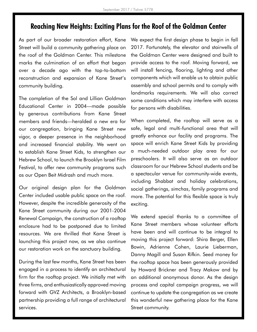## **Reaching New Heights: Exciting Plans for the Roof of the Goldman Center**

As part of our broader restoration effort, Kane Street will build a community gathering place on the roof of the Goldman Center. This milestone marks the culmination of an effort that began over a decade ago with the top-to-bottom reconstruction and expansion of Kane Street's community building.

The completion of the Sol and Lillian Goldman Educational Center in 2004—made possible by generous contributions from Kane Street members and friends—heralded a new era for our congregation, bringing Kane Street new vigor, a deeper presence in the neighborhood and increased financial stability. We went on to establish Kane Street Kids, to strengthen our Hebrew School, to launch the Brooklyn Israel Film Festival, to offer new community programs such as our Open Beit Midrash and much more.

Our original design plan for the Goldman Center included usable public space on the roof. However, despite the incredible generosity of the Kane Street community during our 2001-2004 Renewal Campaign, the construction of a rooftop enclosure had to be postponed due to limited resources. We are thrilled that Kane Street is launching this project now, as we also continue our restoration work on the sanctuary building.

During the last few months, Kane Street has been engaged in a process to identify an architectural firm for the rooftop project. We initially met with three firms, and enthusiastically approved moving forward with GVZ Architects, a Brooklyn-based partnership providing a full range of architectural services.

We expect the first design phase to begin in fall 2017. Fortunately, the elevator and stairwells of the Goldman Center were designed and built to provide access to the roof. Moving forward, we will install fencing, flooring, lighting and other components which will enable us to obtain public assembly and school permits and to comply with landmarks requirements. We will also correct some conditions which may interfere with access for persons with disabilities.

When completed, the rooftop will serve as a safe, legal and multi-functional area that will greatly enhance our facility and programs. The space will enrich Kane Street Kids by providing a much-needed outdoor play area for our preschoolers. It will also serve as an outdoor classroom for our Hebrew School students and be a spectacular venue for community-wide events, including Shabbat and holiday celebrations, social gatherings, *simchas*, family programs and more. The potential for this flexible space is truly exciting.

We extend special thanks to a committee of Kane Street members whose volunteer efforts have been and will continue to be integral to moving this project forward: Shira Berger, Ellen Bowin, Adrienne Cohen, Laurie Lieberman, Danny Magill and Susan Rifkin. Seed money for the rooftop space has been generously provided by Howard Brickner and Tracy Makow and by an additional anonymous donor. As the design process and capital campaign progress, we will continue to update the congregation as we create this wonderful new gathering place for the Kane Street community.